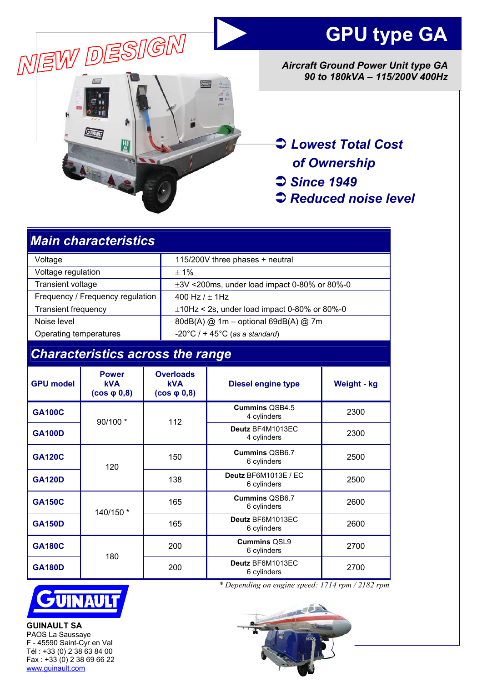



*Aircraft Ground Power Unit type GA 90 to 180kVA – 115/200V 400Hz* 

Â *Lowest Total Cost of Ownership*  Â *Since 1949* 

Â *Reduced noise level* 

| <b>Main characteristics</b>             |                                                 |                                                     |                                                     |                                            |                    |
|-----------------------------------------|-------------------------------------------------|-----------------------------------------------------|-----------------------------------------------------|--------------------------------------------|--------------------|
| Voltage                                 |                                                 |                                                     | 115/200V three phases + neutral                     |                                            |                    |
| Voltage regulation                      |                                                 |                                                     | ±1%                                                 |                                            |                    |
| <b>Transient voltage</b>                |                                                 |                                                     | $\pm 3V$ <200ms, under load impact 0-80% or 80%-0   |                                            |                    |
|                                         | Frequency / Frequency regulation                |                                                     | 400 Hz $/ \pm 1$ Hz                                 |                                            |                    |
| <b>Transient frequency</b>              |                                                 |                                                     | $\pm$ 10Hz < 2s, under load impact 0-80% or 80%-0   |                                            |                    |
| Noise level                             |                                                 |                                                     | 80dB(A) @ 1m - optional 69dB(A) @ 7m                |                                            |                    |
| Operating temperatures                  |                                                 |                                                     | $-20^{\circ}$ C / + 45 $^{\circ}$ C (as a standard) |                                            |                    |
| <b>Characteristics across the range</b> |                                                 |                                                     |                                                     |                                            |                    |
| <b>GPU model</b>                        | <b>Power</b><br><b>kVA</b><br>$(cos \phi 0, 8)$ | <b>Overloads</b><br><b>kVA</b><br>$(cos \phi 0, 8)$ |                                                     | <b>Diesel engine type</b>                  | <b>Weight - kg</b> |
| <b>GA100C</b>                           | 90/100 *                                        |                                                     | 112                                                 | <b>Cummins QSB4.5</b><br>4 cylinders       | 2300               |
| <b>GA100D</b>                           |                                                 |                                                     |                                                     | Deutz BF4M1013EC<br>4 cylinders            | 2300               |
| <b>GA120C</b>                           | 120                                             | 150                                                 |                                                     | <b>Cummins OSB6.7</b><br>6 cylinders       | 2500               |
| <b>GA120D</b>                           |                                                 | 138                                                 |                                                     | <b>Deutz BF6M1013E / EC</b><br>6 cylinders | 2500               |
| <b>GA150C</b>                           | 140/150 *                                       | 165                                                 |                                                     | <b>Cummins OSB6.7</b><br>6 cylinders       | 2600               |
| <b>GA150D</b>                           |                                                 | 165                                                 |                                                     | Deutz BF6M1013EC<br>6 cylinders            | 2600               |
| <b>GA180C</b>                           |                                                 |                                                     | 200                                                 | <b>Cummins QSL9</b>                        | 2700               |

<sup>200</sup>**Deutz** BF6M1013EC



180

**GA180D** 

**GUINAULT SA**  PAOS La Saussaye F - 45590 Saint-Cyr en Val Tél : +33 (0) 2 38 63 84 00  $Fax : +33(0)$  2 38 69 66 22 www.guinault.com

*\* Depending on engine speed: 1714 rpm / 2182 rpm*

 $\begin{array}{c|c}\n\mathsf{Z} \mathsf{B} \mathsf{F} \mathsf{O} \mathsf{M} \mathsf{T} \mathsf{U} \mathsf{T} \mathsf{3} \mathsf{E} \mathsf{C}\n\end{array}$  2700

 $\begin{array}{c|c}\n\text{immins QSL9} & \text{2700} \\
\text{6 cylinders} & \text{2700}\n\end{array}$